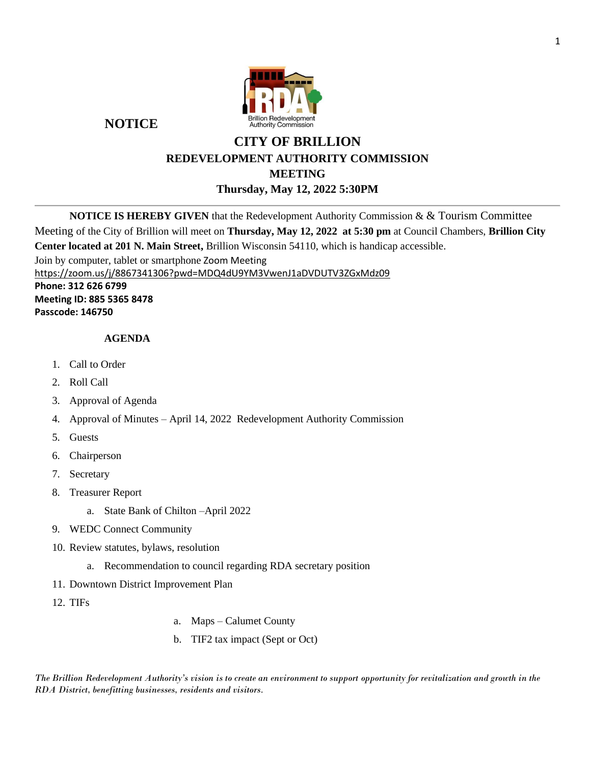

**NOTICE**

# **CITY OF BRILLION REDEVELOPMENT AUTHORITY COMMISSION MEETING Thursday, May 12, 2022 5:30PM**

**NOTICE IS HEREBY GIVEN** that the Redevelopment Authority Commission & & Tourism Committee Meeting of the City of Brillion will meet on **Thursday, May 12, 2022 at 5:30 pm** at Council Chambers, **Brillion City Center located at 201 N. Main Street,** Brillion Wisconsin 54110, which is handicap accessible. Join by computer, tablet or smartphone Zoom Meeting <https://zoom.us/j/8867341306?pwd=MDQ4dU9YM3VwenJ1aDVDUTV3ZGxMdz09> **Phone: 312 626 6799 Meeting ID: 885 5365 8478 Passcode: 146750**

## **AGENDA**

- 1. Call to Order
- 2. Roll Call
- 3. Approval of Agenda
- 4. Approval of Minutes April 14, 2022 Redevelopment Authority Commission
- 5. Guests
- 6. Chairperson
- 7. Secretary
- 8. Treasurer Report
	- a. State Bank of Chilton –April 2022
- 9. WEDC Connect Community
- 10. Review statutes, bylaws, resolution
	- a. Recommendation to council regarding RDA secretary position
- 11. Downtown District Improvement Plan
- 12. TIFs

- a. Maps Calumet County
- b. TIF2 tax impact (Sept or Oct)

*The Brillion Redevelopment Authority's vision is to create an environment to support opportunity for revitalization and growth in the RDA District, benefitting businesses, residents and visitors.*